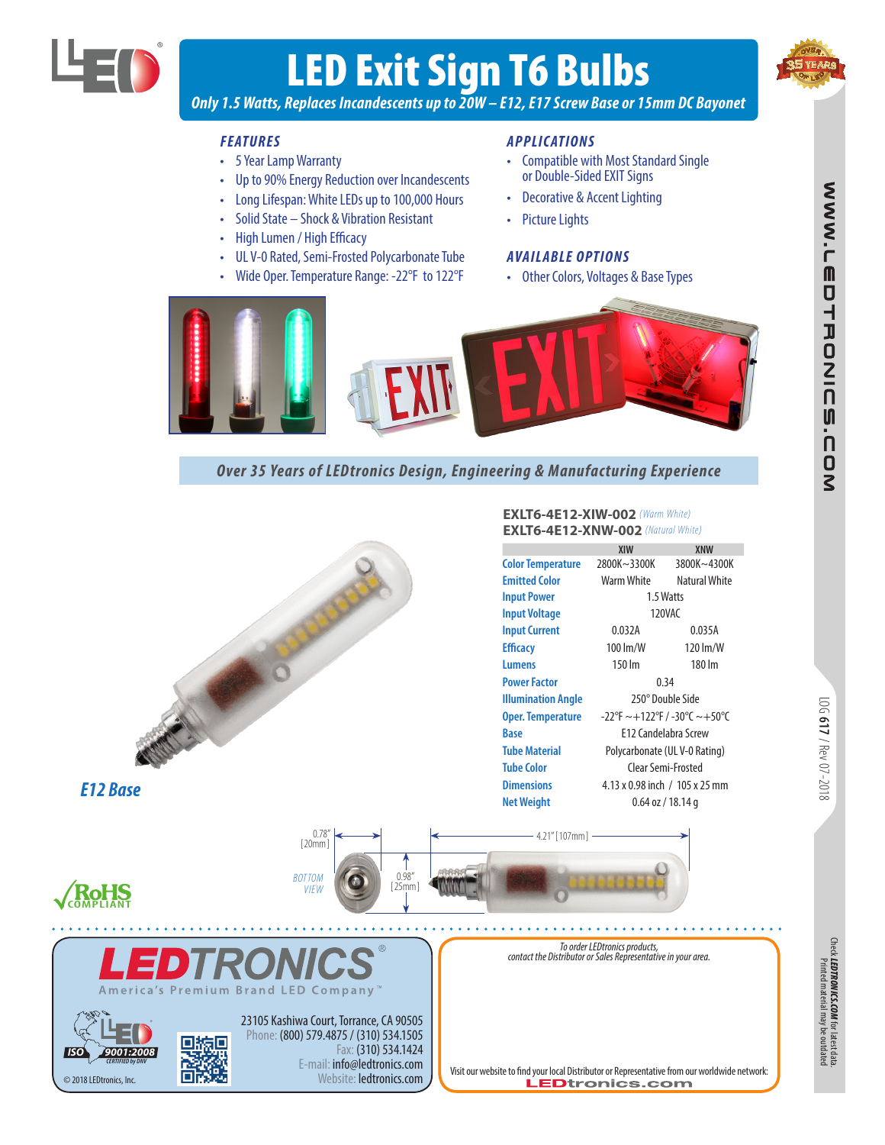

# LED Exit Sign T6 Bulbs



WW.LEDTRONIC

UNO'S

*Only 1.5 Watts, Replaces Incandescents up to 20W – E12, E17 Screw Base or 15mm DC Bayonet*

## *FEATURES*

- 5 Year Lamp Warranty
- Up to 90% Energy Reduction over Incandescents
- Long Lifespan: White LEDs up to 100,000 Hours
- Solid State Shock & Vibration Resistant
- High Lumen / High Efficacy
- UL V-0 Rated, Semi-Frosted Polycarbonate Tube
- Wide Oper. Temperature Range: -22°F to 122°F

### *APPLICATIONS*

- Compatible with Most Standard Single or Double-Sided EXIT Signs
- Decorative & Accent Lighting
- Picture Lights

### *AVAILABLE OPTIONS*

• Other Colors, Voltages & Base Types



# *Over 35 Years of LEDtronics Design, Engineering & Manufacturing Experience*



LOG **617**/ Rev 07-2018